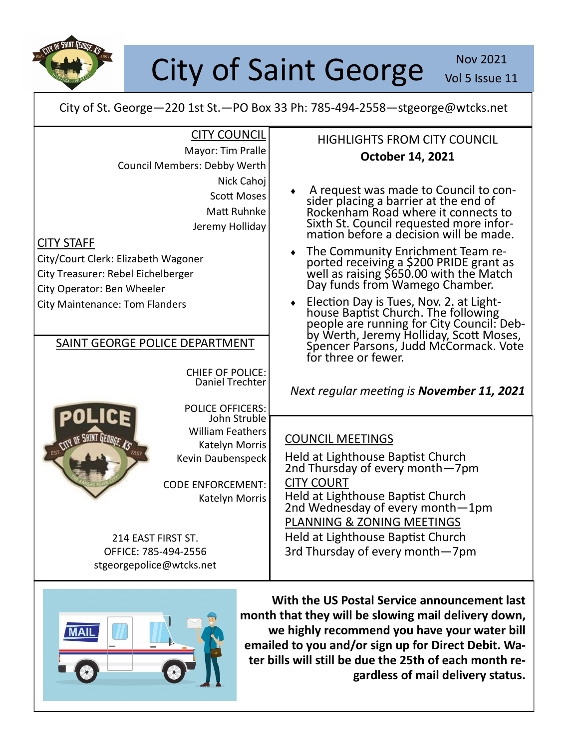

## City of Saint George Nov 2021

Vol 5 Issue 11

City of St. George—220 1st St.—PO Box 33 Ph: 785-494-2558—stgeorge@wtcks.net

| <b>CITY COUNCIL</b>                        | <b>HIGHLIGHTS FROM CITY COUNCIL</b>                                                                                                                                                                                                |
|--------------------------------------------|------------------------------------------------------------------------------------------------------------------------------------------------------------------------------------------------------------------------------------|
| Mayor: Tim Pralle                          | October 14, 2021                                                                                                                                                                                                                   |
| Council Members: Debby Werth               |                                                                                                                                                                                                                                    |
| Nick Cahoj                                 |                                                                                                                                                                                                                                    |
| <b>Scott Moses</b>                         | A request was made to Council to con-                                                                                                                                                                                              |
| Matt Ruhnke                                | sider placing a barrier at the end of<br>Rockenham Road where it connects to                                                                                                                                                       |
| Jeremy Holliday                            | Sixth St. Council requested more infor-<br>mation before a decision will be made.                                                                                                                                                  |
| <b>CITY STAFF</b>                          | The Community Enrichment Team re-                                                                                                                                                                                                  |
| City/Court Clerk: Elizabeth Wagoner        |                                                                                                                                                                                                                                    |
| City Treasurer: Rebel Eichelberger         | ported receiving a \$200 PRIDE grant as<br>well as raising \$650.00 with the Match<br>Day funds from Wamego Chamber.                                                                                                               |
| City Operator: Ben Wheeler                 |                                                                                                                                                                                                                                    |
| <b>City Maintenance: Tom Flanders</b>      | Election Day is Tues, Nov. 2. at Light-<br>house Baptist Church. The following<br>people are running for City Council: Deb-<br>by Werth, Jeremy Holliday, Scott Moses,<br>Spencer Parsons, Judd McCormack. Vote<br>$\blacklozenge$ |
| SAINT GEORGE POLICE DEPARTMENT             | for three or fewer.                                                                                                                                                                                                                |
| <b>CHIEF OF POLICE:</b><br>Daniel Trechter | Next regular meeting is November 11, 2021                                                                                                                                                                                          |
| <b>POLICE OFFICERS:</b><br>John Struble    |                                                                                                                                                                                                                                    |
| <b>William Feathers</b>                    |                                                                                                                                                                                                                                    |
| Katelyn Morris                             | <b>COUNCIL MEETINGS</b>                                                                                                                                                                                                            |
| Kevin Daubenspeck                          | Held at Lighthouse Baptist Church<br>2nd Thursday of every month-7pm                                                                                                                                                               |
| <b>CODE ENFORCEMENT:</b>                   | <b>CITY COURT</b>                                                                                                                                                                                                                  |
| Katelyn Morris                             | Held at Lighthouse Baptist Church<br>2nd Wednesday of every month-1pm                                                                                                                                                              |
|                                            | PLANNING & ZONING MEETINGS                                                                                                                                                                                                         |
| 214 EAST FIRST ST.                         | Held at Lighthouse Baptist Church                                                                                                                                                                                                  |
| OFFICE: 785-494-2556                       | 3rd Thursday of every month-7pm                                                                                                                                                                                                    |
| stgeorgepolice@wtcks.net                   |                                                                                                                                                                                                                                    |
|                                            |                                                                                                                                                                                                                                    |



**With the US Postal Service announcement last month that they will be slowing mail delivery down, we highly recommend you have your water bill emailed to you and/or sign up for Direct Debit. Water bills will still be due the 25th of each month regardless of mail delivery status.**